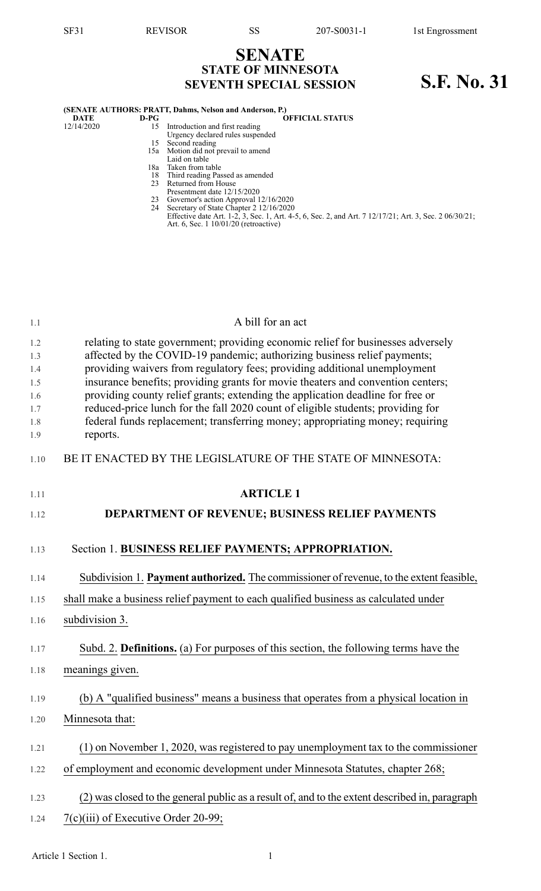## **SENATE STATE OF MINNESOTA SEVENTH SPECIAL SESSION S.F. No. 31**

| (SENATE AUTHORS: PRATT, Dahms, Nelson and Anderson, P.) |  |
|---------------------------------------------------------|--|
|---------------------------------------------------------|--|

- **DATE D-PG OFFICIAL STATUS**<br>12/14/2020 **15** Introduction and first reading 12/14/2020 15 Introduction and first reading
	- Urgency declared rules suspended 15 Second reading
	- 15a Motion did not prevail to amend
	- Laid on table
	- 18a Taken from table
	- 18 Third reading Passed as amended
	- 23 Returned from House Presentment date 12/15/2020
	- 23 Governor's action Approval 12/16/2020
	- 24 Secretary of State Chapter 2 12/16/2020
	- Effective date Art. 1-2, 3, Sec. 1, Art. 4-5, 6, Sec. 2, and Art. 7 12/17/21; Art. 3, Sec. 2 06/30/21; Art. 6, Sec. 1 10/01/20 (retroactive)

| relating to state government; providing economic relief for businesses adversely<br>affected by the COVID-19 pandemic; authorizing business relief payments;<br>providing waivers from regulatory fees; providing additional unemployment |
|-------------------------------------------------------------------------------------------------------------------------------------------------------------------------------------------------------------------------------------------|
|                                                                                                                                                                                                                                           |
|                                                                                                                                                                                                                                           |
| insurance benefits; providing grants for movie theaters and convention centers;<br>providing county relief grants; extending the application deadline for free or                                                                         |
| reduced-price lunch for the fall 2020 count of eligible students; providing for                                                                                                                                                           |
| federal funds replacement; transferring money; appropriating money; requiring                                                                                                                                                             |
| reports.                                                                                                                                                                                                                                  |
| BE IT ENACTED BY THE LEGISLATURE OF THE STATE OF MINNESOTA:                                                                                                                                                                               |
| <b>ARTICLE 1</b>                                                                                                                                                                                                                          |
| DEPARTMENT OF REVENUE; BUSINESS RELIEF PAYMENTS                                                                                                                                                                                           |
|                                                                                                                                                                                                                                           |
| Section 1. BUSINESS RELIEF PAYMENTS; APPROPRIATION.                                                                                                                                                                                       |
| Subdivision 1. Payment authorized. The commissioner of revenue, to the extent feasible,                                                                                                                                                   |
| shall make a business relief payment to each qualified business as calculated under                                                                                                                                                       |
| subdivision 3.                                                                                                                                                                                                                            |
| Subd. 2. Definitions. (a) For purposes of this section, the following terms have the                                                                                                                                                      |
| meanings given.                                                                                                                                                                                                                           |
|                                                                                                                                                                                                                                           |
| (b) A "qualified business" means a business that operates from a physical location in                                                                                                                                                     |
| Minnesota that:                                                                                                                                                                                                                           |
| $(1)$ on November 1, 2020, was registered to pay unemployment tax to the commissioner                                                                                                                                                     |
| of employment and economic development under Minnesota Statutes, chapter 268;                                                                                                                                                             |
| (2) was closed to the general public as a result of, and to the extent described in, paragraph                                                                                                                                            |
| 7(c)(iii) of Executive Order 20-99;                                                                                                                                                                                                       |
|                                                                                                                                                                                                                                           |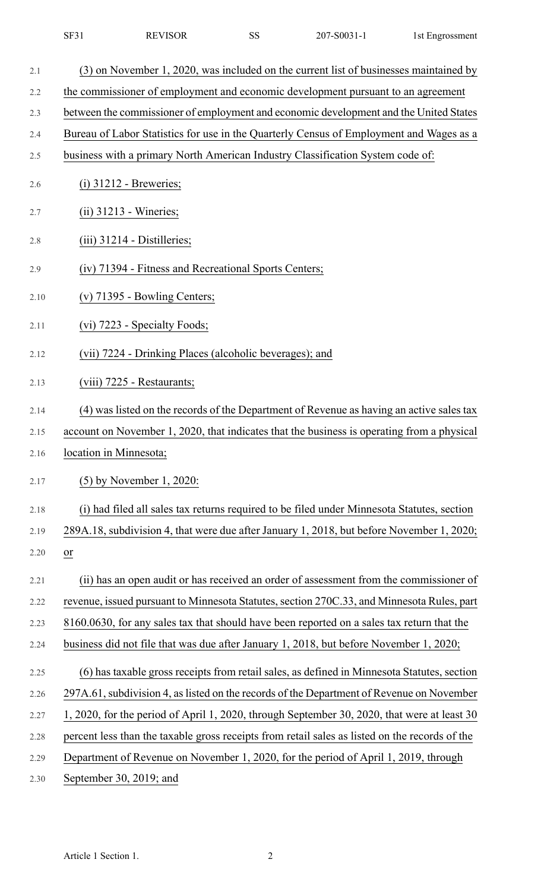| $CD^{\prime}$<br>SF31 | <b>REVISOR</b> | $\sim$ $\sim$<br>◡ | C <sub>0</sub> 021<br>207.<br>- ור<br>ייי | l St<br>uprossment: |
|-----------------------|----------------|--------------------|-------------------------------------------|---------------------|
|-----------------------|----------------|--------------------|-------------------------------------------|---------------------|

| 2.1  | (3) on November 1, 2020, was included on the current list of businesses maintained by          |
|------|------------------------------------------------------------------------------------------------|
| 2.2  | the commissioner of employment and economic development pursuant to an agreement               |
| 2.3  | between the commissioner of employment and economic development and the United States          |
| 2.4  | Bureau of Labor Statistics for use in the Quarterly Census of Employment and Wages as a        |
| 2.5  | business with a primary North American Industry Classification System code of:                 |
| 2.6  | $(i)$ 31212 - Breweries;                                                                       |
| 2.7  | $(ii)$ 31213 - Wineries;                                                                       |
| 2.8  | $(iii)$ 31214 - Distilleries;                                                                  |
| 2.9  | (iv) 71394 - Fitness and Recreational Sports Centers;                                          |
| 2.10 | $(v)$ 71395 - Bowling Centers;                                                                 |
| 2.11 | (vi) 7223 - Specialty Foods;                                                                   |
| 2.12 | (vii) 7224 - Drinking Places (alcoholic beverages); and                                        |
| 2.13 | (viii) 7225 - Restaurants;                                                                     |
| 2.14 | (4) was listed on the records of the Department of Revenue as having an active sales tax       |
| 2.15 | account on November 1, 2020, that indicates that the business is operating from a physical     |
| 2.16 | location in Minnesota;                                                                         |
| 2.17 | $(5)$ by November 1, 2020:                                                                     |
| 2.18 | (i) had filed all sales tax returns required to be filed under Minnesota Statutes, section     |
| 2.19 | 289A.18, subdivision 4, that were due after January 1, 2018, but before November 1, 2020;      |
| 2.20 | or                                                                                             |
| 2.21 | (ii) has an open audit or has received an order of assessment from the commissioner of         |
| 2.22 | revenue, issued pursuant to Minnesota Statutes, section 270C.33, and Minnesota Rules, part     |
| 2.23 | 8160.0630, for any sales tax that should have been reported on a sales tax return that the     |
| 2.24 | business did not file that was due after January 1, 2018, but before November 1, 2020;         |
| 2.25 | (6) has taxable gross receipts from retail sales, as defined in Minnesota Statutes, section    |
| 2.26 | 297A.61, subdivision 4, as listed on the records of the Department of Revenue on November      |
| 2.27 | 1, 2020, for the period of April 1, 2020, through September 30, 2020, that were at least 30    |
| 2.28 | percent less than the taxable gross receipts from retail sales as listed on the records of the |
| 2.29 | Department of Revenue on November 1, 2020, for the period of April 1, 2019, through            |
| 2.30 | September 30, 2019; and                                                                        |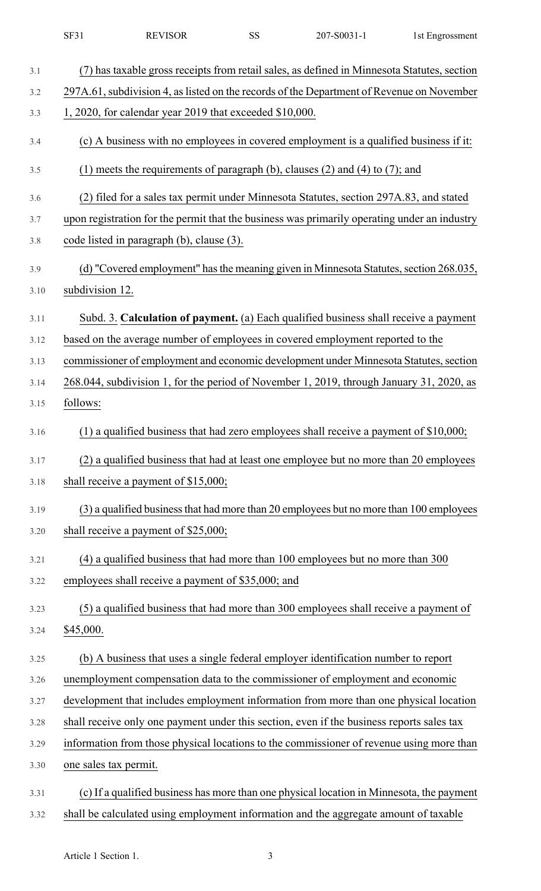|      | <b>SF31</b>           | <b>REVISOR</b>                                          | <b>SS</b> | 207-S0031-1                                                                                  | 1st Engrossment |
|------|-----------------------|---------------------------------------------------------|-----------|----------------------------------------------------------------------------------------------|-----------------|
| 3.1  |                       |                                                         |           | (7) has taxable gross receipts from retail sales, as defined in Minnesota Statutes, section  |                 |
| 3.2  |                       |                                                         |           | 297A.61, subdivision 4, as listed on the records of the Department of Revenue on November    |                 |
| 3.3  |                       | 1, 2020, for calendar year 2019 that exceeded \$10,000. |           |                                                                                              |                 |
| 3.4  |                       |                                                         |           | (c) A business with no employees in covered employment is a qualified business if it:        |                 |
| 3.5  |                       |                                                         |           | (1) meets the requirements of paragraph (b), clauses (2) and (4) to (7); and                 |                 |
| 3.6  |                       |                                                         |           | (2) filed for a sales tax permit under Minnesota Statutes, section 297A.83, and stated       |                 |
| 3.7  |                       |                                                         |           | upon registration for the permit that the business was primarily operating under an industry |                 |
| 3.8  |                       | code listed in paragraph (b), clause (3).               |           |                                                                                              |                 |
| 3.9  |                       |                                                         |           | (d) "Covered employment" has the meaning given in Minnesota Statutes, section 268.035,       |                 |
| 3.10 | subdivision 12.       |                                                         |           |                                                                                              |                 |
| 3.11 |                       |                                                         |           | Subd. 3. Calculation of payment. (a) Each qualified business shall receive a payment         |                 |
| 3.12 |                       |                                                         |           | based on the average number of employees in covered employment reported to the               |                 |
| 3.13 |                       |                                                         |           | commissioner of employment and economic development under Minnesota Statutes, section        |                 |
| 3.14 |                       |                                                         |           | 268.044, subdivision 1, for the period of November 1, 2019, through January 31, 2020, as     |                 |
| 3.15 | follows:              |                                                         |           |                                                                                              |                 |
| 3.16 |                       |                                                         |           | $(1)$ a qualified business that had zero employees shall receive a payment of \$10,000;      |                 |
| 3.17 |                       |                                                         |           | (2) a qualified business that had at least one employee but no more than 20 employees        |                 |
| 3.18 |                       | shall receive a payment of $$15,000;$                   |           |                                                                                              |                 |
| 3.19 |                       |                                                         |           | (3) a qualified business that had more than 20 employees but no more than 100 employees      |                 |
| 3.20 |                       | shall receive a payment of $$25,000;$                   |           |                                                                                              |                 |
| 3.21 |                       |                                                         |           | (4) a qualified business that had more than 100 employees but no more than 300               |                 |
| 3.22 |                       | employees shall receive a payment of \$35,000; and      |           |                                                                                              |                 |
| 3.23 |                       |                                                         |           | (5) a qualified business that had more than 300 employees shall receive a payment of         |                 |
| 3.24 | \$45,000.             |                                                         |           |                                                                                              |                 |
| 3.25 |                       |                                                         |           | (b) A business that uses a single federal employer identification number to report           |                 |
| 3.26 |                       |                                                         |           | unemployment compensation data to the commissioner of employment and economic                |                 |
| 3.27 |                       |                                                         |           | development that includes employment information from more than one physical location        |                 |
| 3.28 |                       |                                                         |           | shall receive only one payment under this section, even if the business reports sales tax    |                 |
| 3.29 |                       |                                                         |           | information from those physical locations to the commissioner of revenue using more than     |                 |
| 3.30 | one sales tax permit. |                                                         |           |                                                                                              |                 |
| 3.31 |                       |                                                         |           | (c) If a qualified business has more than one physical location in Minnesota, the payment    |                 |
| 3.32 |                       |                                                         |           | shall be calculated using employment information and the aggregate amount of taxable         |                 |

Article 1 Section 1. 3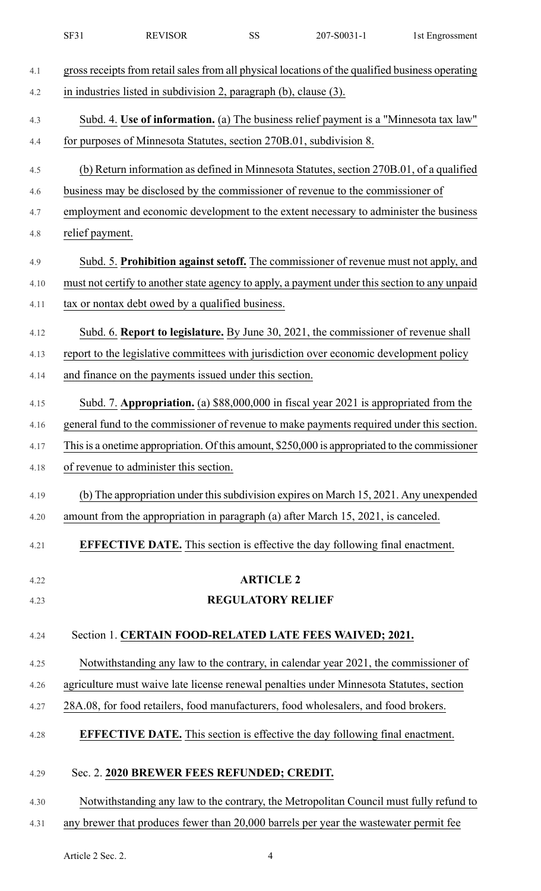|      | <b>SF31</b>     | <b>REVISOR</b>                                                      | <b>SS</b>                | 207-S0031-1                                                                                      | 1st Engrossment |
|------|-----------------|---------------------------------------------------------------------|--------------------------|--------------------------------------------------------------------------------------------------|-----------------|
| 4.1  |                 |                                                                     |                          | gross receipts from retail sales from all physical locations of the qualified business operating |                 |
| 4.2  |                 | in industries listed in subdivision 2, paragraph (b), clause (3).   |                          |                                                                                                  |                 |
| 4.3  |                 |                                                                     |                          | Subd. 4. Use of information. (a) The business relief payment is a "Minnesota tax law"            |                 |
| 4.4  |                 | for purposes of Minnesota Statutes, section 270B.01, subdivision 8. |                          |                                                                                                  |                 |
| 4.5  |                 |                                                                     |                          | (b) Return information as defined in Minnesota Statutes, section 270B.01, of a qualified         |                 |
| 4.6  |                 |                                                                     |                          | business may be disclosed by the commissioner of revenue to the commissioner of                  |                 |
| 4.7  |                 |                                                                     |                          | employment and economic development to the extent necessary to administer the business           |                 |
| 4.8  | relief payment. |                                                                     |                          |                                                                                                  |                 |
| 4.9  |                 |                                                                     |                          | Subd. 5. Prohibition against setoff. The commissioner of revenue must not apply, and             |                 |
| 4.10 |                 |                                                                     |                          | must not certify to another state agency to apply, a payment under this section to any unpaid    |                 |
| 4.11 |                 | tax or nontax debt owed by a qualified business.                    |                          |                                                                                                  |                 |
| 4.12 |                 |                                                                     |                          | Subd. 6. Report to legislature. By June 30, 2021, the commissioner of revenue shall              |                 |
| 4.13 |                 |                                                                     |                          | report to the legislative committees with jurisdiction over economic development policy          |                 |
| 4.14 |                 | and finance on the payments issued under this section.              |                          |                                                                                                  |                 |
| 4.15 |                 |                                                                     |                          | Subd. 7. Appropriation. (a) \$88,000,000 in fiscal year 2021 is appropriated from the            |                 |
| 4.16 |                 |                                                                     |                          | general fund to the commissioner of revenue to make payments required under this section.        |                 |
| 4.17 |                 |                                                                     |                          | This is a onetime appropriation. Of this amount, \$250,000 is appropriated to the commissioner   |                 |
| 4.18 |                 | of revenue to administer this section.                              |                          |                                                                                                  |                 |
| 4.19 |                 |                                                                     |                          | (b) The appropriation under this subdivision expires on March 15, 2021. Any unexpended           |                 |
| 4.20 |                 |                                                                     |                          | amount from the appropriation in paragraph (a) after March 15, 2021, is canceled.                |                 |
| 4.21 |                 |                                                                     |                          | <b>EFFECTIVE DATE.</b> This section is effective the day following final enactment.              |                 |
| 4.22 |                 |                                                                     | <b>ARTICLE 2</b>         |                                                                                                  |                 |
| 4.23 |                 |                                                                     | <b>REGULATORY RELIEF</b> |                                                                                                  |                 |
| 4.24 |                 |                                                                     |                          | Section 1. CERTAIN FOOD-RELATED LATE FEES WAIVED; 2021.                                          |                 |
| 4.25 |                 |                                                                     |                          | Notwithstanding any law to the contrary, in calendar year 2021, the commissioner of              |                 |
| 4.26 |                 |                                                                     |                          | agriculture must waive late license renewal penalties under Minnesota Statutes, section          |                 |
| 4.27 |                 |                                                                     |                          | 28A.08, for food retailers, food manufacturers, food wholesalers, and food brokers.              |                 |
| 4.28 |                 |                                                                     |                          | <b>EFFECTIVE DATE.</b> This section is effective the day following final enactment.              |                 |
| 4.29 |                 | Sec. 2. 2020 BREWER FEES REFUNDED; CREDIT.                          |                          |                                                                                                  |                 |
| 4.30 |                 |                                                                     |                          | Notwithstanding any law to the contrary, the Metropolitan Council must fully refund to           |                 |
| 4.31 |                 |                                                                     |                          | any brewer that produces fewer than 20,000 barrels per year the wastewater permit fee            |                 |

Article 2 Sec. 2. 4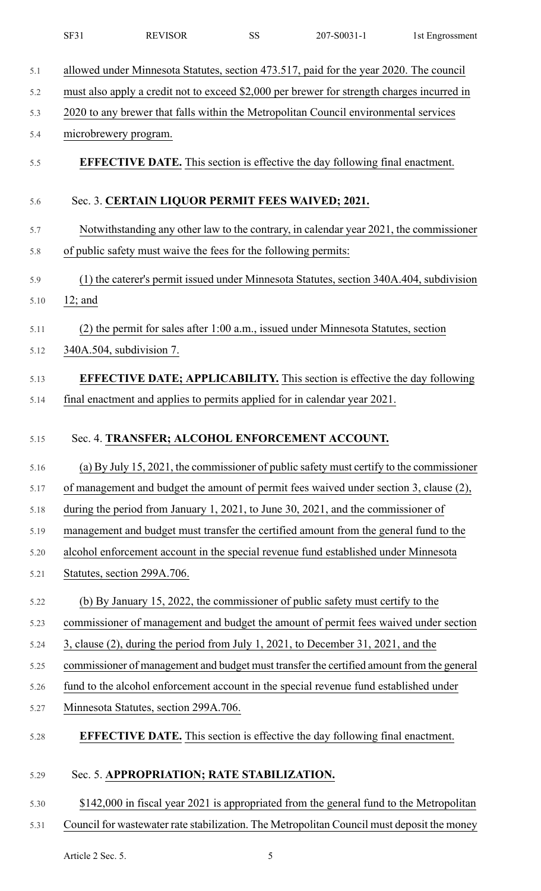|      | SF31      | <b>REVISOR</b>                                                  | <b>SS</b> | 207-S0031-1                                                                                | 1st Engrossment |
|------|-----------|-----------------------------------------------------------------|-----------|--------------------------------------------------------------------------------------------|-----------------|
| 5.1  |           |                                                                 |           | allowed under Minnesota Statutes, section 473.517, paid for the year 2020. The council     |                 |
| 5.2  |           |                                                                 |           | must also apply a credit not to exceed \$2,000 per brewer for strength charges incurred in |                 |
| 5.3  |           |                                                                 |           | 2020 to any brewer that falls within the Metropolitan Council environmental services       |                 |
| 5.4  |           | microbrewery program.                                           |           |                                                                                            |                 |
| 5.5  |           |                                                                 |           | <b>EFFECTIVE DATE.</b> This section is effective the day following final enactment.        |                 |
| 5.6  |           | Sec. 3. CERTAIN LIQUOR PERMIT FEES WAIVED; 2021.                |           |                                                                                            |                 |
| 5.7  |           |                                                                 |           | Notwithstanding any other law to the contrary, in calendar year 2021, the commissioner     |                 |
| 5.8  |           | of public safety must waive the fees for the following permits: |           |                                                                                            |                 |
| 5.9  |           |                                                                 |           | (1) the caterer's permit issued under Minnesota Statutes, section 340A.404, subdivision    |                 |
| 5.10 | $12;$ and |                                                                 |           |                                                                                            |                 |
| 5.11 |           |                                                                 |           | (2) the permit for sales after 1:00 a.m., issued under Minnesota Statutes, section         |                 |
| 5.12 |           | 340A.504, subdivision 7.                                        |           |                                                                                            |                 |
| 5.13 |           |                                                                 |           | <b>EFFECTIVE DATE; APPLICABILITY.</b> This section is effective the day following          |                 |
| 5.14 |           |                                                                 |           | final enactment and applies to permits applied for in calendar year 2021.                  |                 |
|      |           |                                                                 |           |                                                                                            |                 |
| 5.15 |           | Sec. 4. TRANSFER; ALCOHOL ENFORCEMENT ACCOUNT.                  |           |                                                                                            |                 |
| 5.16 |           |                                                                 |           | (a) By July 15, 2021, the commissioner of public safety must certify to the commissioner   |                 |
| 5.17 |           |                                                                 |           | of management and budget the amount of permit fees waived under section 3, clause (2),     |                 |
| 5.18 |           |                                                                 |           | during the period from January 1, 2021, to June 30, 2021, and the commissioner of          |                 |
| 5.19 |           |                                                                 |           | management and budget must transfer the certified amount from the general fund to the      |                 |
| 5.20 |           |                                                                 |           | alcohol enforcement account in the special revenue fund established under Minnesota        |                 |
| 5.21 |           | Statutes, section 299A.706.                                     |           |                                                                                            |                 |
| 5.22 |           |                                                                 |           | (b) By January 15, 2022, the commissioner of public safety must certify to the             |                 |
| 5.23 |           |                                                                 |           | commissioner of management and budget the amount of permit fees waived under section       |                 |
| 5.24 |           |                                                                 |           | 3, clause (2), during the period from July 1, 2021, to December 31, 2021, and the          |                 |
| 5.25 |           |                                                                 |           | commissioner of management and budget must transfer the certified amount from the general  |                 |
| 5.26 |           |                                                                 |           | fund to the alcohol enforcement account in the special revenue fund established under      |                 |
| 5.27 |           | Minnesota Statutes, section 299A.706.                           |           |                                                                                            |                 |
| 5.28 |           |                                                                 |           | <b>EFFECTIVE DATE.</b> This section is effective the day following final enactment.        |                 |
| 5.29 |           | Sec. 5. APPROPRIATION; RATE STABILIZATION.                      |           |                                                                                            |                 |
| 5.30 |           |                                                                 |           | \$142,000 in fiscal year 2021 is appropriated from the general fund to the Metropolitan    |                 |
| 5.31 |           |                                                                 |           | Council for wastewater rate stabilization. The Metropolitan Council must deposit the money |                 |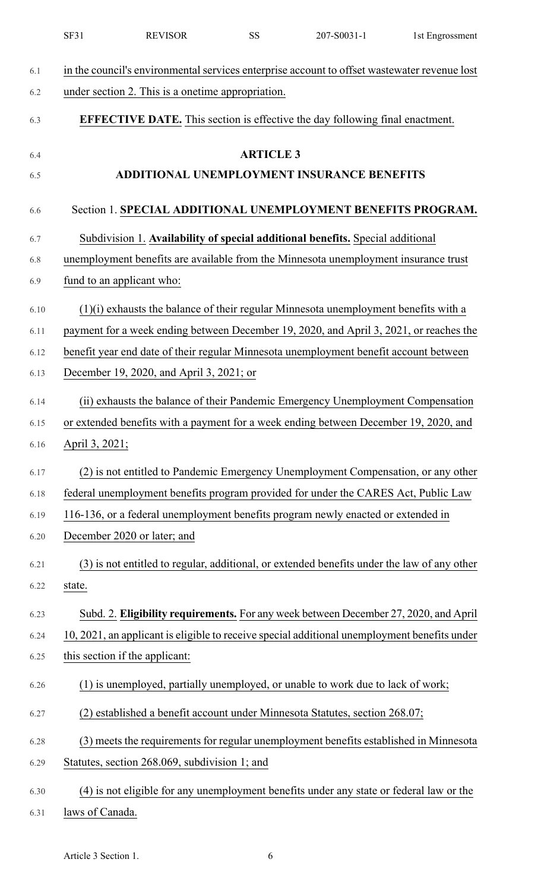|      | SF31<br><b>REVISOR</b>                                                                       | <b>SS</b>        | 207-S0031-1                                       | 1st Engrossment |
|------|----------------------------------------------------------------------------------------------|------------------|---------------------------------------------------|-----------------|
| 6.1  | in the council's environmental services enterprise account to offset wastewater revenue lost |                  |                                                   |                 |
| 6.2  | under section 2. This is a onetime appropriation.                                            |                  |                                                   |                 |
| 6.3  | <b>EFFECTIVE DATE.</b> This section is effective the day following final enactment.          |                  |                                                   |                 |
| 6.4  |                                                                                              | <b>ARTICLE 3</b> |                                                   |                 |
| 6.5  |                                                                                              |                  | <b>ADDITIONAL UNEMPLOYMENT INSURANCE BENEFITS</b> |                 |
| 6.6  | Section 1. SPECIAL ADDITIONAL UNEMPLOYMENT BENEFITS PROGRAM.                                 |                  |                                                   |                 |
| 6.7  | Subdivision 1. Availability of special additional benefits. Special additional               |                  |                                                   |                 |
| 6.8  | unemployment benefits are available from the Minnesota unemployment insurance trust          |                  |                                                   |                 |
| 6.9  | fund to an applicant who:                                                                    |                  |                                                   |                 |
| 6.10 | $(1)(i)$ exhausts the balance of their regular Minnesota unemployment benefits with a        |                  |                                                   |                 |
| 6.11 | payment for a week ending between December 19, 2020, and April 3, 2021, or reaches the       |                  |                                                   |                 |
| 6.12 | benefit year end date of their regular Minnesota unemployment benefit account between        |                  |                                                   |                 |
| 6.13 | December 19, 2020, and April 3, 2021; or                                                     |                  |                                                   |                 |
| 6.14 | (ii) exhausts the balance of their Pandemic Emergency Unemployment Compensation              |                  |                                                   |                 |
| 6.15 | or extended benefits with a payment for a week ending between December 19, 2020, and         |                  |                                                   |                 |
| 6.16 | April 3, 2021;                                                                               |                  |                                                   |                 |
| 6.17 | (2) is not entitled to Pandemic Emergency Unemployment Compensation, or any other            |                  |                                                   |                 |
| 6.18 | federal unemployment benefits program provided for under the CARES Act, Public Law           |                  |                                                   |                 |
| 6.19 | 116-136, or a federal unemployment benefits program newly enacted or extended in             |                  |                                                   |                 |
| 6.20 | December 2020 or later; and                                                                  |                  |                                                   |                 |
| 6.21 | (3) is not entitled to regular, additional, or extended benefits under the law of any other  |                  |                                                   |                 |
| 6.22 | state.                                                                                       |                  |                                                   |                 |
| 6.23 | Subd. 2. Eligibility requirements. For any week between December 27, 2020, and April         |                  |                                                   |                 |
| 6.24 | 10, 2021, an applicant is eligible to receive special additional unemployment benefits under |                  |                                                   |                 |
| 6.25 | this section if the applicant:                                                               |                  |                                                   |                 |
| 6.26 | (1) is unemployed, partially unemployed, or unable to work due to lack of work;              |                  |                                                   |                 |
| 6.27 | (2) established a benefit account under Minnesota Statutes, section 268.07;                  |                  |                                                   |                 |
| 6.28 | (3) meets the requirements for regular unemployment benefits established in Minnesota        |                  |                                                   |                 |
| 6.29 | Statutes, section 268.069, subdivision 1; and                                                |                  |                                                   |                 |
| 6.30 | (4) is not eligible for any unemployment benefits under any state or federal law or the      |                  |                                                   |                 |
| 6.31 | laws of Canada.                                                                              |                  |                                                   |                 |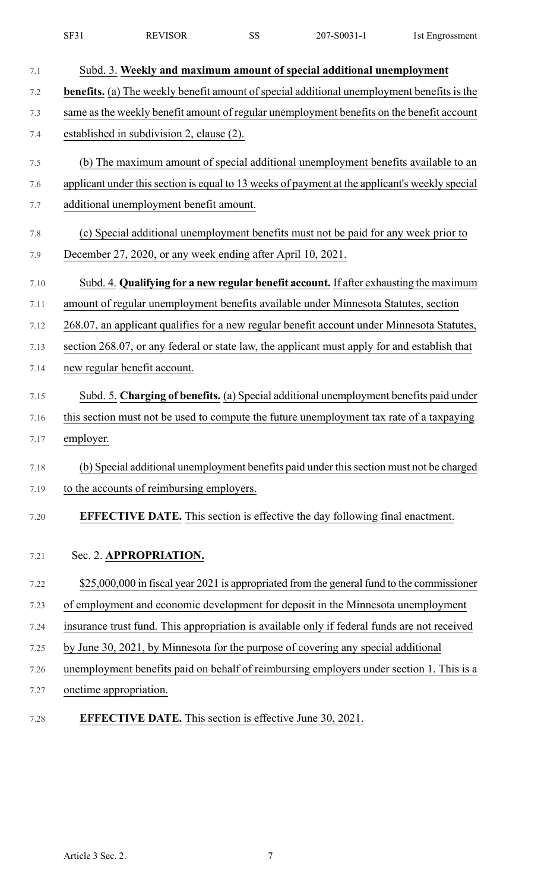|          | SF31                   | <b>REVISOR</b>                                                  | <b>SS</b> | 207-S0031-1                                                                                    | 1st Engrossment |
|----------|------------------------|-----------------------------------------------------------------|-----------|------------------------------------------------------------------------------------------------|-----------------|
| 7.1      |                        |                                                                 |           | Subd. 3. Weekly and maximum amount of special additional unemployment                          |                 |
| 7.2      |                        |                                                                 |           | benefits. (a) The weekly benefit amount of special additional unemployment benefits is the     |                 |
| 7.3      |                        |                                                                 |           | same as the weekly benefit amount of regular unemployment benefits on the benefit account      |                 |
| 7.4      |                        | established in subdivision 2, clause (2).                       |           |                                                                                                |                 |
| 7.5      |                        |                                                                 |           | (b) The maximum amount of special additional unemployment benefits available to an             |                 |
| 7.6      |                        |                                                                 |           | applicant under this section is equal to 13 weeks of payment at the applicant's weekly special |                 |
| 7.7      |                        | additional unemployment benefit amount.                         |           |                                                                                                |                 |
| 7.8      |                        |                                                                 |           | (c) Special additional unemployment benefits must not be paid for any week prior to            |                 |
| 7.9      |                        | December 27, 2020, or any week ending after April 10, 2021.     |           |                                                                                                |                 |
| 7.10     |                        |                                                                 |           | Subd. 4. Qualifying for a new regular benefit account. If after exhausting the maximum         |                 |
| $7.11\,$ |                        |                                                                 |           | amount of regular unemployment benefits available under Minnesota Statutes, section            |                 |
| 7.12     |                        |                                                                 |           | 268.07, an applicant qualifies for a new regular benefit account under Minnesota Statutes,     |                 |
| 7.13     |                        |                                                                 |           | section 268.07, or any federal or state law, the applicant must apply for and establish that   |                 |
| 7.14     |                        | new regular benefit account.                                    |           |                                                                                                |                 |
| 7.15     |                        |                                                                 |           | Subd. 5. Charging of benefits. (a) Special additional unemployment benefits paid under         |                 |
| 7.16     |                        |                                                                 |           | this section must not be used to compute the future unemployment tax rate of a taxpaying       |                 |
| 7.17     | employer.              |                                                                 |           |                                                                                                |                 |
| 7.18     |                        |                                                                 |           | (b) Special additional unemployment benefits paid under this section must not be charged       |                 |
| 7.19     |                        | to the accounts of reimbursing employers.                       |           |                                                                                                |                 |
| 7.20     |                        |                                                                 |           | <b>EFFECTIVE DATE.</b> This section is effective the day following final enactment.            |                 |
| 7.21     |                        | Sec. 2. APPROPRIATION.                                          |           |                                                                                                |                 |
| 7.22     |                        |                                                                 |           | \$25,000,000 in fiscal year 2021 is appropriated from the general fund to the commissioner     |                 |
| 7.23     |                        |                                                                 |           | of employment and economic development for deposit in the Minnesota unemployment               |                 |
| 7.24     |                        |                                                                 |           | insurance trust fund. This appropriation is available only if federal funds are not received   |                 |
| 7.25     |                        |                                                                 |           | by June 30, 2021, by Minnesota for the purpose of covering any special additional              |                 |
| 7.26     |                        |                                                                 |           | unemployment benefits paid on behalf of reimbursing employers under section 1. This is a       |                 |
| 7.27     | onetime appropriation. |                                                                 |           |                                                                                                |                 |
| 7.28     |                        | <b>EFFECTIVE DATE.</b> This section is effective June 30, 2021. |           |                                                                                                |                 |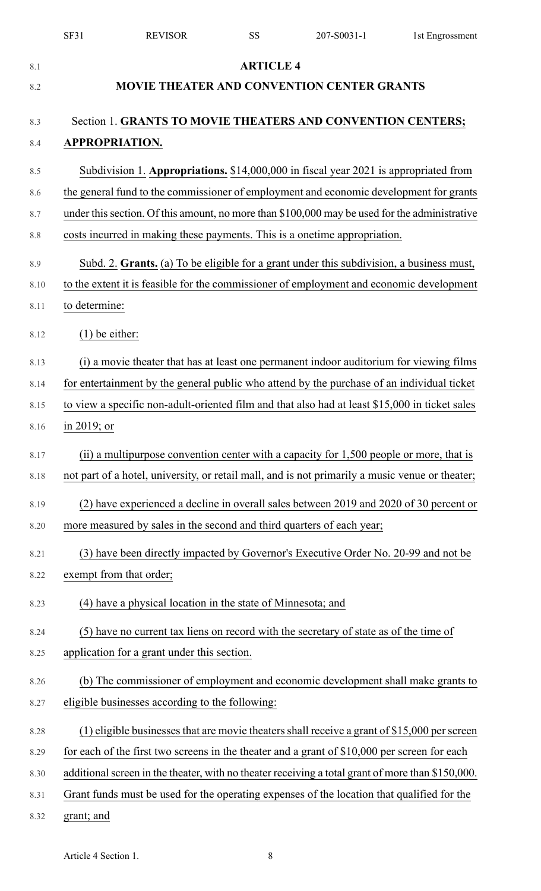|      | SF31<br><b>REVISOR</b>                                                                            | <b>SS</b>        | 207-S0031-1 | 1st Engrossment |
|------|---------------------------------------------------------------------------------------------------|------------------|-------------|-----------------|
| 8.1  |                                                                                                   | <b>ARTICLE 4</b> |             |                 |
| 8.2  | <b>MOVIE THEATER AND CONVENTION CENTER GRANTS</b>                                                 |                  |             |                 |
| 8.3  | Section 1. GRANTS TO MOVIE THEATERS AND CONVENTION CENTERS;                                       |                  |             |                 |
| 8.4  | <b>APPROPRIATION.</b>                                                                             |                  |             |                 |
| 8.5  | Subdivision 1. Appropriations. \$14,000,000 in fiscal year 2021 is appropriated from              |                  |             |                 |
| 8.6  | the general fund to the commissioner of employment and economic development for grants            |                  |             |                 |
| 8.7  | under this section. Of this amount, no more than \$100,000 may be used for the administrative     |                  |             |                 |
| 8.8  | costs incurred in making these payments. This is a onetime appropriation.                         |                  |             |                 |
| 8.9  | Subd. 2. Grants. (a) To be eligible for a grant under this subdivision, a business must,          |                  |             |                 |
| 8.10 | to the extent it is feasible for the commissioner of employment and economic development          |                  |             |                 |
| 8.11 | to determine:                                                                                     |                  |             |                 |
| 8.12 | $(1)$ be either:                                                                                  |                  |             |                 |
| 8.13 | (i) a movie theater that has at least one permanent indoor auditorium for viewing films           |                  |             |                 |
| 8.14 | for entertainment by the general public who attend by the purchase of an individual ticket        |                  |             |                 |
| 8.15 | to view a specific non-adult-oriented film and that also had at least \$15,000 in ticket sales    |                  |             |                 |
| 8.16 | $\frac{\text{in } 2019}{\text{or}}$                                                               |                  |             |                 |
| 8.17 | (ii) a multipurpose convention center with a capacity for 1,500 people or more, that is           |                  |             |                 |
| 8.18 | not part of a hotel, university, or retail mall, and is not primarily a music venue or theater;   |                  |             |                 |
| 8.19 | (2) have experienced a decline in overall sales between 2019 and 2020 of 30 percent or            |                  |             |                 |
| 8.20 | more measured by sales in the second and third quarters of each year;                             |                  |             |                 |
| 8.21 | (3) have been directly impacted by Governor's Executive Order No. 20-99 and not be                |                  |             |                 |
| 8.22 | exempt from that order;                                                                           |                  |             |                 |
| 8.23 | (4) have a physical location in the state of Minnesota; and                                       |                  |             |                 |
| 8.24 | (5) have no current tax liens on record with the secretary of state as of the time of             |                  |             |                 |
| 8.25 | application for a grant under this section.                                                       |                  |             |                 |
| 8.26 | (b) The commissioner of employment and economic development shall make grants to                  |                  |             |                 |
| 8.27 | eligible businesses according to the following:                                                   |                  |             |                 |
| 8.28 | (1) eligible businesses that are movie theaters shall receive a grant of $$15,000$ per screen     |                  |             |                 |
| 8.29 | for each of the first two screens in the theater and a grant of $$10,000$ per screen for each     |                  |             |                 |
| 8.30 | additional screen in the theater, with no theater receiving a total grant of more than \$150,000. |                  |             |                 |
| 8.31 | Grant funds must be used for the operating expenses of the location that qualified for the        |                  |             |                 |
| 8.32 | grant; and                                                                                        |                  |             |                 |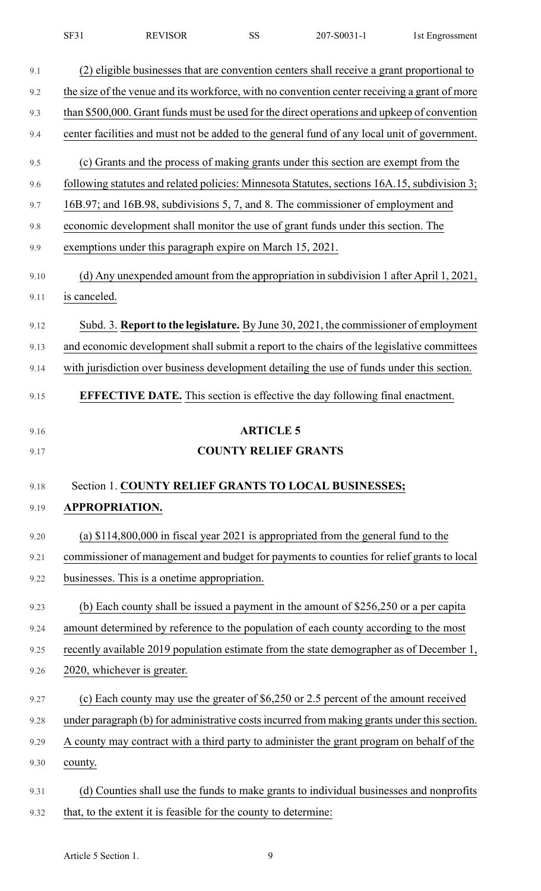|  | SF31 | <b>REVISOR</b> |  | 207-S0031-1 | 1st Engrossment |
|--|------|----------------|--|-------------|-----------------|
|--|------|----------------|--|-------------|-----------------|

| 9.1  | (2) eligible businesses that are convention centers shall receive a grant proportional to    |
|------|----------------------------------------------------------------------------------------------|
| 9.2  | the size of the venue and its workforce, with no convention center receiving a grant of more |
| 9.3  | than \$500,000. Grant funds must be used for the direct operations and upkeep of convention  |
| 9.4  | center facilities and must not be added to the general fund of any local unit of government. |
| 9.5  | (c) Grants and the process of making grants under this section are exempt from the           |
| 9.6  | following statutes and related policies: Minnesota Statutes, sections 16A.15, subdivision 3; |
| 9.7  | 16B.97; and 16B.98, subdivisions 5, 7, and 8. The commissioner of employment and             |
| 9.8  | economic development shall monitor the use of grant funds under this section. The            |
| 9.9  | exemptions under this paragraph expire on March 15, 2021.                                    |
| 9.10 | (d) Any unexpended amount from the appropriation in subdivision 1 after April 1, 2021,       |
| 9.11 | is canceled.                                                                                 |
| 9.12 | Subd. 3. Report to the legislature. By June 30, 2021, the commissioner of employment         |
| 9.13 | and economic development shall submit a report to the chairs of the legislative committees   |
| 9.14 | with jurisdiction over business development detailing the use of funds under this section.   |
| 9.15 | <b>EFFECTIVE DATE.</b> This section is effective the day following final enactment.          |
| 9.16 | <b>ARTICLE 5</b>                                                                             |
| 9.17 | <b>COUNTY RELIEF GRANTS</b>                                                                  |
|      |                                                                                              |
| 9.18 | Section 1. COUNTY RELIEF GRANTS TO LOCAL BUSINESSES;                                         |
| 9.19 | APPROPRIATION.                                                                               |
| 9.20 | (a) $$114,800,000$ in fiscal year 2021 is appropriated from the general fund to the          |
| 9.21 | commissioner of management and budget for payments to counties for relief grants to local    |
| 9.22 | businesses. This is a onetime appropriation.                                                 |
| 9.23 | (b) Each county shall be issued a payment in the amount of $$256,250$ or a per capita        |
| 9.24 | amount determined by reference to the population of each county according to the most        |
| 9.25 | recently available 2019 population estimate from the state demographer as of December 1,     |
| 9.26 | 2020, whichever is greater.                                                                  |
| 9.27 | (c) Each county may use the greater of \$6,250 or 2.5 percent of the amount received         |
| 9.28 | under paragraph (b) for administrative costs incurred from making grants under this section. |
| 9.29 | A county may contract with a third party to administer the grant program on behalf of the    |
| 9.30 | county.                                                                                      |
| 9.31 | (d) Counties shall use the funds to make grants to individual businesses and nonprofits      |
|      |                                                                                              |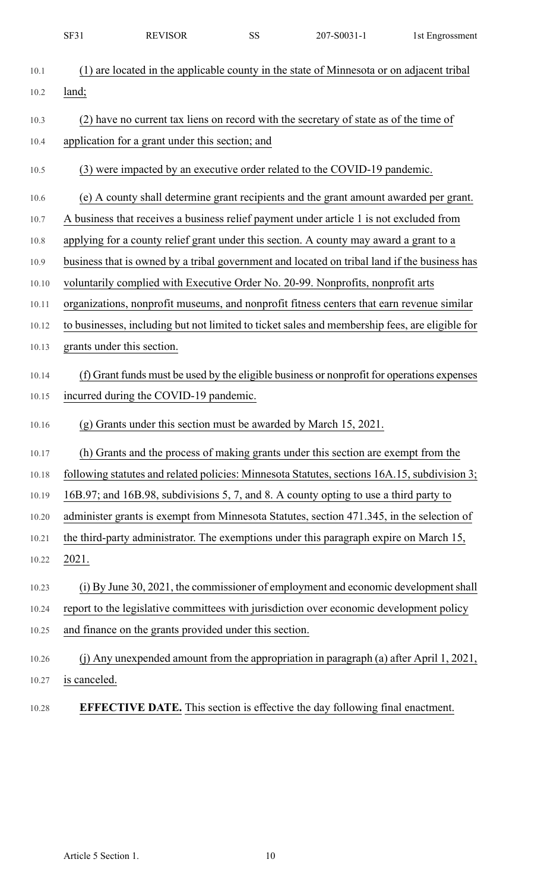|       | SF31         | <b>REVISOR</b>                                                   | SS | 207-S0031-1                                                                                    | 1st Engrossment |
|-------|--------------|------------------------------------------------------------------|----|------------------------------------------------------------------------------------------------|-----------------|
| 10.1  |              |                                                                  |    | (1) are located in the applicable county in the state of Minnesota or on adjacent tribal       |                 |
| 10.2  | land;        |                                                                  |    |                                                                                                |                 |
| 10.3  |              |                                                                  |    | (2) have no current tax liens on record with the secretary of state as of the time of          |                 |
| 10.4  |              | application for a grant under this section; and                  |    |                                                                                                |                 |
| 10.5  |              |                                                                  |    | (3) were impacted by an executive order related to the COVID-19 pandemic.                      |                 |
| 10.6  |              |                                                                  |    | (e) A county shall determine grant recipients and the grant amount awarded per grant.          |                 |
| 10.7  |              |                                                                  |    | A business that receives a business relief payment under article 1 is not excluded from        |                 |
| 10.8  |              |                                                                  |    | applying for a county relief grant under this section. A county may award a grant to a         |                 |
| 10.9  |              |                                                                  |    | business that is owned by a tribal government and located on tribal land if the business has   |                 |
| 10.10 |              |                                                                  |    | voluntarily complied with Executive Order No. 20-99. Nonprofits, nonprofit arts                |                 |
| 10.11 |              |                                                                  |    | organizations, nonprofit museums, and nonprofit fitness centers that earn revenue similar      |                 |
| 10.12 |              |                                                                  |    | to businesses, including but not limited to ticket sales and membership fees, are eligible for |                 |
| 10.13 |              | grants under this section.                                       |    |                                                                                                |                 |
| 10.14 |              |                                                                  |    | (f) Grant funds must be used by the eligible business or nonprofit for operations expenses     |                 |
| 10.15 |              | incurred during the COVID-19 pandemic.                           |    |                                                                                                |                 |
| 10.16 |              | (g) Grants under this section must be awarded by March 15, 2021. |    |                                                                                                |                 |
| 10.17 |              |                                                                  |    | (h) Grants and the process of making grants under this section are exempt from the             |                 |
| 10.18 |              |                                                                  |    | following statutes and related policies: Minnesota Statutes, sections 16A.15, subdivision 3;   |                 |
| 10.19 |              |                                                                  |    | 16B.97; and 16B.98, subdivisions 5, 7, and 8. A county opting to use a third party to          |                 |
| 10.20 |              |                                                                  |    | administer grants is exempt from Minnesota Statutes, section 471.345, in the selection of      |                 |
| 10.21 |              |                                                                  |    | the third-party administrator. The exemptions under this paragraph expire on March 15,         |                 |
| 10.22 | 2021.        |                                                                  |    |                                                                                                |                 |
| 10.23 |              |                                                                  |    | (i) By June 30, 2021, the commissioner of employment and economic development shall            |                 |
| 10.24 |              |                                                                  |    | report to the legislative committees with jurisdiction over economic development policy        |                 |
| 10.25 |              | and finance on the grants provided under this section.           |    |                                                                                                |                 |
| 10.26 |              |                                                                  |    | (i) Any unexpended amount from the appropriation in paragraph (a) after April 1, 2021,         |                 |
| 10.27 | is canceled. |                                                                  |    |                                                                                                |                 |
| 10.28 |              |                                                                  |    | <b>EFFECTIVE DATE.</b> This section is effective the day following final enactment.            |                 |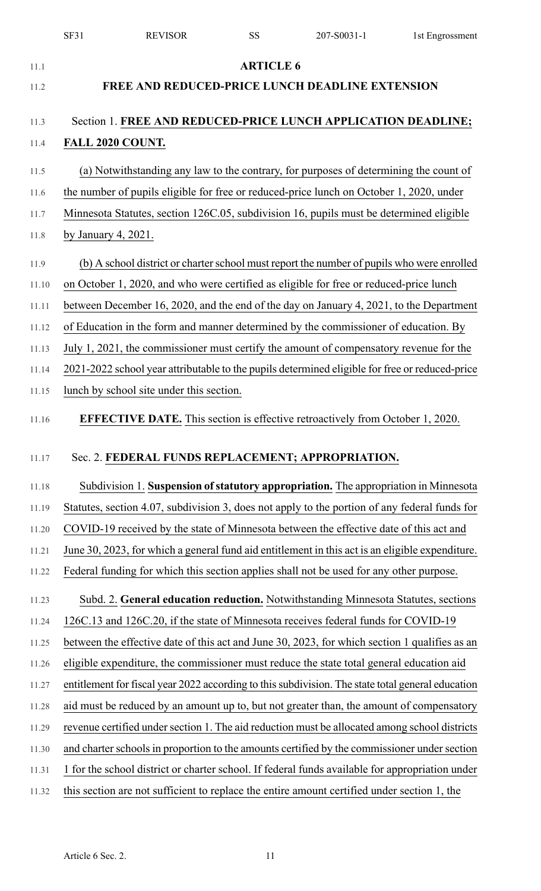|       | <b>SF31</b>                                            | <b>REVISOR</b>                           | SS               | 207-S0031-1                                                                                       | 1st Engrossment |  |
|-------|--------------------------------------------------------|------------------------------------------|------------------|---------------------------------------------------------------------------------------------------|-----------------|--|
| 11.1  |                                                        |                                          | <b>ARTICLE 6</b> |                                                                                                   |                 |  |
| 11.2  | <b>FREE AND REDUCED-PRICE LUNCH DEADLINE EXTENSION</b> |                                          |                  |                                                                                                   |                 |  |
|       |                                                        |                                          |                  |                                                                                                   |                 |  |
| 11.3  |                                                        |                                          |                  | Section 1. FREE AND REDUCED-PRICE LUNCH APPLICATION DEADLINE;                                     |                 |  |
| 11.4  | FALL 2020 COUNT.                                       |                                          |                  |                                                                                                   |                 |  |
| 11.5  |                                                        |                                          |                  | (a) Notwithstanding any law to the contrary, for purposes of determining the count of             |                 |  |
| 11.6  |                                                        |                                          |                  | the number of pupils eligible for free or reduced-price lunch on October 1, 2020, under           |                 |  |
| 11.7  |                                                        |                                          |                  | Minnesota Statutes, section 126C.05, subdivision 16, pupils must be determined eligible           |                 |  |
| 11.8  | by January 4, 2021.                                    |                                          |                  |                                                                                                   |                 |  |
| 11.9  |                                                        |                                          |                  | (b) A school district or charter school must report the number of pupils who were enrolled        |                 |  |
| 11.10 |                                                        |                                          |                  | on October 1, 2020, and who were certified as eligible for free or reduced-price lunch            |                 |  |
| 11.11 |                                                        |                                          |                  | between December 16, 2020, and the end of the day on January 4, 2021, to the Department           |                 |  |
| 11.12 |                                                        |                                          |                  | of Education in the form and manner determined by the commissioner of education. By               |                 |  |
| 11.13 |                                                        |                                          |                  | July 1, 2021, the commissioner must certify the amount of compensatory revenue for the            |                 |  |
| 11.14 |                                                        |                                          |                  | 2021-2022 school year attributable to the pupils determined eligible for free or reduced-price    |                 |  |
| 11.15 |                                                        | lunch by school site under this section. |                  |                                                                                                   |                 |  |
|       |                                                        |                                          |                  | <b>EFFECTIVE DATE.</b> This section is effective retroactively from October 1, 2020.              |                 |  |
| 11.16 |                                                        |                                          |                  |                                                                                                   |                 |  |
| 11.17 |                                                        |                                          |                  | Sec. 2. FEDERAL FUNDS REPLACEMENT; APPROPRIATION.                                                 |                 |  |
| 11.18 |                                                        |                                          |                  | Subdivision 1. Suspension of statutory appropriation. The appropriation in Minnesota              |                 |  |
| 11.19 |                                                        |                                          |                  | Statutes, section 4.07, subdivision 3, does not apply to the portion of any federal funds for     |                 |  |
| 11.20 |                                                        |                                          |                  | COVID-19 received by the state of Minnesota between the effective date of this act and            |                 |  |
| 11.21 |                                                        |                                          |                  | June 30, 2023, for which a general fund aid entitlement in this act is an eligible expenditure.   |                 |  |
| 11.22 |                                                        |                                          |                  | Federal funding for which this section applies shall not be used for any other purpose.           |                 |  |
|       |                                                        |                                          |                  |                                                                                                   |                 |  |
| 11.23 |                                                        |                                          |                  | Subd. 2. General education reduction. Notwithstanding Minnesota Statutes, sections                |                 |  |
| 11.24 |                                                        |                                          |                  | 126C.13 and 126C.20, if the state of Minnesota receives federal funds for COVID-19                |                 |  |
| 11.25 |                                                        |                                          |                  | between the effective date of this act and June 30, 2023, for which section 1 qualifies as an     |                 |  |
| 11.26 |                                                        |                                          |                  | eligible expenditure, the commissioner must reduce the state total general education aid          |                 |  |
| 11.27 |                                                        |                                          |                  | entitlement for fiscal year 2022 according to this subdivision. The state total general education |                 |  |
| 11.28 |                                                        |                                          |                  | aid must be reduced by an amount up to, but not greater than, the amount of compensatory          |                 |  |
| 11.29 |                                                        |                                          |                  | revenue certified under section 1. The aid reduction must be allocated among school districts     |                 |  |
| 11.30 |                                                        |                                          |                  | and charter schools in proportion to the amounts certified by the commissioner under section      |                 |  |
| 11.31 |                                                        |                                          |                  | 1 for the school district or charter school. If federal funds available for appropriation under   |                 |  |
| 11.32 |                                                        |                                          |                  | this section are not sufficient to replace the entire amount certified under section 1, the       |                 |  |
|       |                                                        |                                          |                  |                                                                                                   |                 |  |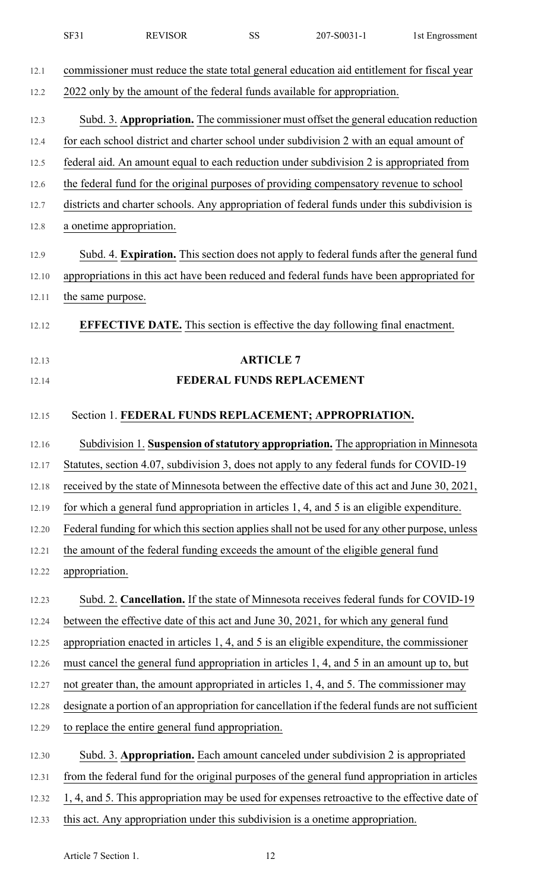|       | SF31<br><b>REVISOR</b>                                                                           | <b>SS</b>                 | 207-S0031-1 | 1st Engrossment |  |
|-------|--------------------------------------------------------------------------------------------------|---------------------------|-------------|-----------------|--|
| 12.1  | commissioner must reduce the state total general education aid entitlement for fiscal year       |                           |             |                 |  |
| 12.2  | 2022 only by the amount of the federal funds available for appropriation.                        |                           |             |                 |  |
| 12.3  | Subd. 3. Appropriation. The commissioner must offset the general education reduction             |                           |             |                 |  |
| 12.4  | for each school district and charter school under subdivision 2 with an equal amount of          |                           |             |                 |  |
| 12.5  | federal aid. An amount equal to each reduction under subdivision 2 is appropriated from          |                           |             |                 |  |
| 12.6  | the federal fund for the original purposes of providing compensatory revenue to school           |                           |             |                 |  |
| 12.7  | districts and charter schools. Any appropriation of federal funds under this subdivision is      |                           |             |                 |  |
| 12.8  | a onetime appropriation.                                                                         |                           |             |                 |  |
| 12.9  | Subd. 4. Expiration. This section does not apply to federal funds after the general fund         |                           |             |                 |  |
| 12.10 | appropriations in this act have been reduced and federal funds have been appropriated for        |                           |             |                 |  |
| 12.11 | the same purpose.                                                                                |                           |             |                 |  |
| 12.12 | <b>EFFECTIVE DATE.</b> This section is effective the day following final enactment.              |                           |             |                 |  |
| 12.13 |                                                                                                  | <b>ARTICLE 7</b>          |             |                 |  |
| 12.14 |                                                                                                  | FEDERAL FUNDS REPLACEMENT |             |                 |  |
| 12.15 | Section 1. FEDERAL FUNDS REPLACEMENT; APPROPRIATION.                                             |                           |             |                 |  |
| 12.16 | Subdivision 1. Suspension of statutory appropriation. The appropriation in Minnesota             |                           |             |                 |  |
| 12.17 | Statutes, section 4.07, subdivision 3, does not apply to any federal funds for COVID-19          |                           |             |                 |  |
| 12.18 | received by the state of Minnesota between the effective date of this act and June 30, 2021,     |                           |             |                 |  |
| 12.19 | for which a general fund appropriation in articles 1, 4, and 5 is an eligible expenditure.       |                           |             |                 |  |
| 12.20 | Federal funding for which this section applies shall not be used for any other purpose, unless   |                           |             |                 |  |
| 12.21 | the amount of the federal funding exceeds the amount of the eligible general fund                |                           |             |                 |  |
| 12.22 | appropriation.                                                                                   |                           |             |                 |  |
| 12.23 | Subd. 2. Cancellation. If the state of Minnesota receives federal funds for COVID-19             |                           |             |                 |  |
| 12.24 | between the effective date of this act and June 30, 2021, for which any general fund             |                           |             |                 |  |
| 12.25 |                                                                                                  |                           |             |                 |  |
|       | appropriation enacted in articles 1, 4, and 5 is an eligible expenditure, the commissioner       |                           |             |                 |  |
| 12.26 | must cancel the general fund appropriation in articles 1, 4, and 5 in an amount up to, but       |                           |             |                 |  |
| 12.27 | not greater than, the amount appropriated in articles 1, 4, and 5. The commissioner may          |                           |             |                 |  |
| 12.28 | designate a portion of an appropriation for cancellation if the federal funds are not sufficient |                           |             |                 |  |
| 12.29 | to replace the entire general fund appropriation.                                                |                           |             |                 |  |
| 12.30 | Subd. 3. Appropriation. Each amount canceled under subdivision 2 is appropriated                 |                           |             |                 |  |
| 12.31 | from the federal fund for the original purposes of the general fund appropriation in articles    |                           |             |                 |  |
| 12.32 | 1, 4, and 5. This appropriation may be used for expenses retroactive to the effective date of    |                           |             |                 |  |